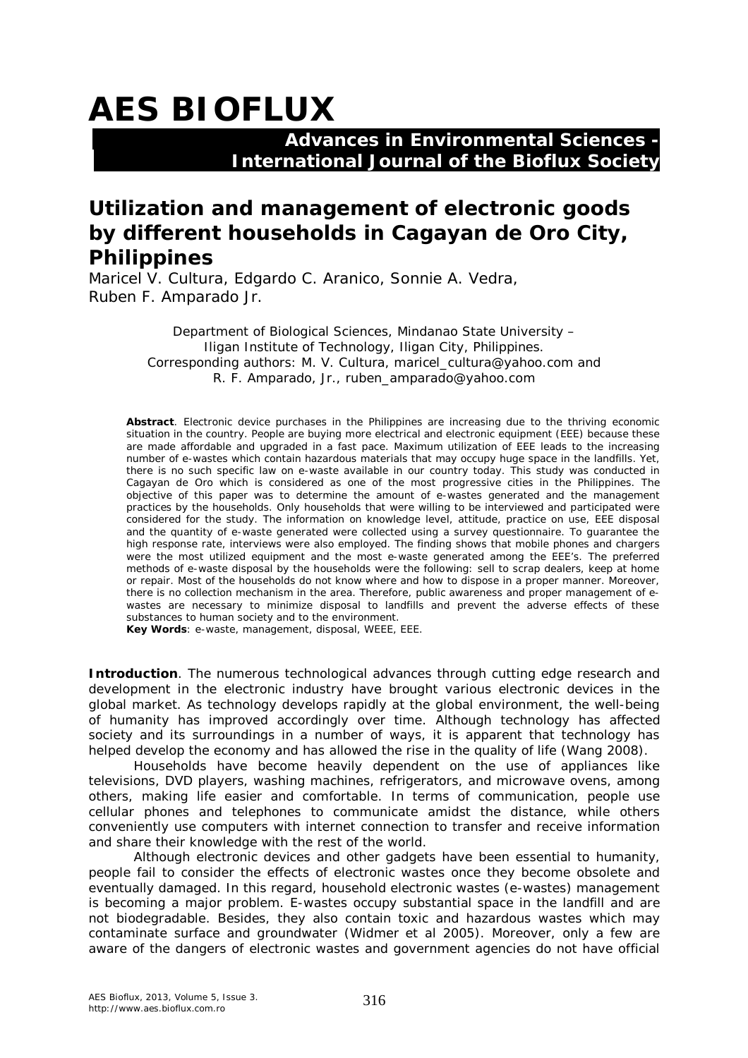# **AES BIOFLUX**

### **Advances in Environmental Sciences - International Journal of the Bioflux Society**

## **Utilization and management of electronic goods by different households in Cagayan de Oro City, Philippines**

Maricel V. Cultura, Edgardo C. Aranico, Sonnie A. Vedra, Ruben F. Amparado Jr.

> Department of Biological Sciences, Mindanao State University – Iligan Institute of Technology, Iligan City, Philippines. Corresponding authors: M. V. Cultura, maricel\_cultura@yahoo.com and R. F. Amparado, Jr., ruben\_amparado@yahoo.com

**Abstract**. Electronic device purchases in the Philippines are increasing due to the thriving economic situation in the country. People are buying more electrical and electronic equipment (EEE) because these are made affordable and upgraded in a fast pace. Maximum utilization of EEE leads to the increasing number of e-wastes which contain hazardous materials that may occupy huge space in the landfills. Yet, there is no such specific law on e-waste available in our country today. This study was conducted in Cagayan de Oro which is considered as one of the most progressive cities in the Philippines. The objective of this paper was to determine the amount of e-wastes generated and the management practices by the households. Only households that were willing to be interviewed and participated were considered for the study. The information on knowledge level, attitude, practice on use, EEE disposal and the quantity of e-waste generated were collected using a survey questionnaire. To guarantee the high response rate, interviews were also employed. The finding shows that mobile phones and chargers were the most utilized equipment and the most e-waste generated among the EEE's. The preferred methods of e-waste disposal by the households were the following: sell to scrap dealers, keep at home or repair. Most of the households do not know where and how to dispose in a proper manner. Moreover, there is no collection mechanism in the area. Therefore, public awareness and proper management of ewastes are necessary to minimize disposal to landfills and prevent the adverse effects of these substances to human society and to the environment.

**Key Words**: e-waste, management, disposal, WEEE, EEE.

**Introduction**. The numerous technological advances through cutting edge research and development in the electronic industry have brought various electronic devices in the global market. As technology develops rapidly at the global environment, the well-being of humanity has improved accordingly over time. Although technology has affected society and its surroundings in a number of ways, it is apparent that technology has helped develop the economy and has allowed the rise in the quality of life (Wang 2008).

Households have become heavily dependent on the use of appliances like televisions, DVD players, washing machines, refrigerators, and microwave ovens, among others, making life easier and comfortable. In terms of communication, people use cellular phones and telephones to communicate amidst the distance, while others conveniently use computers with internet connection to transfer and receive information and share their knowledge with the rest of the world.

Although electronic devices and other gadgets have been essential to humanity, people fail to consider the effects of electronic wastes once they become obsolete and eventually damaged. In this regard, household electronic wastes (e-wastes) management is becoming a major problem. E-wastes occupy substantial space in the landfill and are not biodegradable. Besides, they also contain toxic and hazardous wastes which may contaminate surface and groundwater (Widmer et al 2005). Moreover, only a few are aware of the dangers of electronic wastes and government agencies do not have official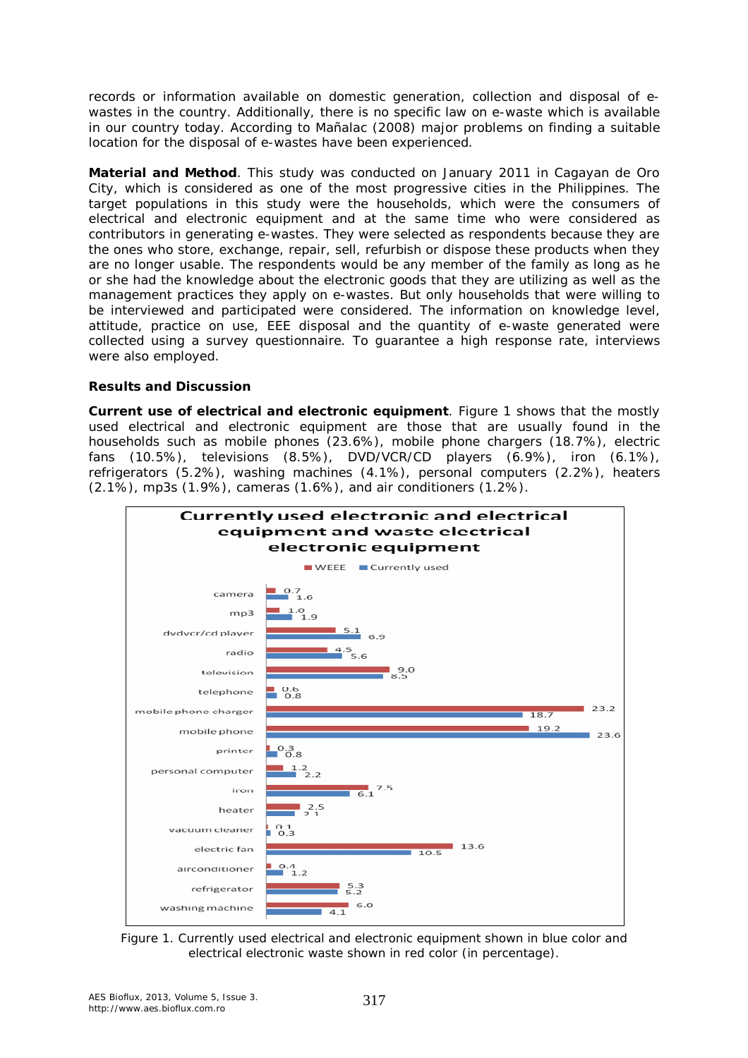records or information available on domestic generation, collection and disposal of ewastes in the country. Additionally, there is no specific law on e-waste which is available in our country today. According to Mañalac (2008) major problems on finding a suitable location for the disposal of e-wastes have been experienced.

**Material and Method**. This study was conducted on January 2011 in Cagayan de Oro City, which is considered as one of the most progressive cities in the Philippines. The target populations in this study were the households, which were the consumers of electrical and electronic equipment and at the same time who were considered as contributors in generating e-wastes. They were selected as respondents because they are the ones who store, exchange, repair, sell, refurbish or dispose these products when they are no longer usable. The respondents would be any member of the family as long as he or she had the knowledge about the electronic goods that they are utilizing as well as the management practices they apply on e-wastes. But only households that were willing to be interviewed and participated were considered. The information on knowledge level, attitude, practice on use, EEE disposal and the quantity of e-waste generated were collected using a survey questionnaire. To guarantee a high response rate, interviews were also employed.

#### **Results and Discussion**

**Current use of electrical and electronic equipment**. Figure 1 shows that the mostly used electrical and electronic equipment are those that are usually found in the households such as mobile phones (23.6%), mobile phone chargers (18.7%), electric fans (10.5%), televisions (8.5%), DVD/VCR/CD players (6.9%), iron (6.1%), refrigerators (5.2%), washing machines (4.1%), personal computers (2.2%), heaters (2.1%), mp3s (1.9%), cameras (1.6%), and air conditioners (1.2%).



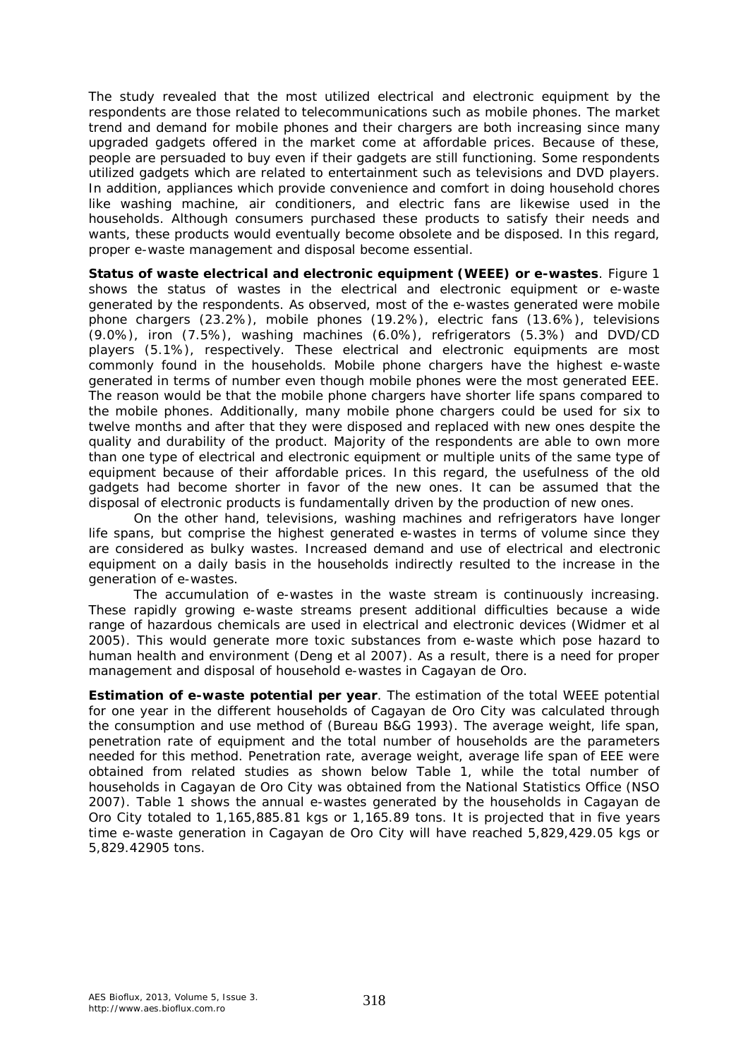The study revealed that the most utilized electrical and electronic equipment by the respondents are those related to telecommunications such as mobile phones. The market trend and demand for mobile phones and their chargers are both increasing since many upgraded gadgets offered in the market come at affordable prices. Because of these, people are persuaded to buy even if their gadgets are still functioning. Some respondents utilized gadgets which are related to entertainment such as televisions and DVD players. In addition, appliances which provide convenience and comfort in doing household chores like washing machine, air conditioners, and electric fans are likewise used in the households. Although consumers purchased these products to satisfy their needs and wants, these products would eventually become obsolete and be disposed. In this regard, proper e-waste management and disposal become essential.

*Status of waste electrical and electronic equipment (WEEE) or e-wastes.* Figure 1 shows the status of wastes in the electrical and electronic equipment or e-waste generated by the respondents. As observed, most of the e-wastes generated were mobile phone chargers (23.2%), mobile phones (19.2%), electric fans (13.6%), televisions (9.0%), iron (7.5%), washing machines (6.0%), refrigerators (5.3%) and DVD/CD players (5.1%), respectively. These electrical and electronic equipments are most commonly found in the households. Mobile phone chargers have the highest e-waste generated in terms of number even though mobile phones were the most generated EEE. The reason would be that the mobile phone chargers have shorter life spans compared to the mobile phones. Additionally, many mobile phone chargers could be used for six to twelve months and after that they were disposed and replaced with new ones despite the quality and durability of the product. Majority of the respondents are able to own more than one type of electrical and electronic equipment or multiple units of the same type of equipment because of their affordable prices. In this regard, the usefulness of the old gadgets had become shorter in favor of the new ones. It can be assumed that the disposal of electronic products is fundamentally driven by the production of new ones.

On the other hand, televisions, washing machines and refrigerators have longer life spans, but comprise the highest generated e-wastes in terms of volume since they are considered as bulky wastes. Increased demand and use of electrical and electronic equipment on a daily basis in the households indirectly resulted to the increase in the generation of e-wastes.

The accumulation of e-wastes in the waste stream is continuously increasing. These rapidly growing e-waste streams present additional difficulties because a wide range of hazardous chemicals are used in electrical and electronic devices (Widmer et al 2005). This would generate more toxic substances from e-waste which pose hazard to human health and environment (Deng et al 2007). As a result, there is a need for proper management and disposal of household e-wastes in Cagayan de Oro.

*Estimation of e-waste potential per year.* The estimation of the total WEEE potential for one year in the different households of Cagayan de Oro City was calculated through the consumption and use method of (Bureau B&G 1993). The average weight, life span, penetration rate of equipment and the total number of households are the parameters needed for this method. Penetration rate, average weight, average life span of EEE were obtained from related studies as shown below Table 1, while the total number of households in Cagayan de Oro City was obtained from the National Statistics Office (NSO 2007). Table 1 shows the annual e-wastes generated by the households in Cagayan de Oro City totaled to 1,165,885.81 kgs or 1,165.89 tons. It is projected that in five years time e-waste generation in Cagayan de Oro City will have reached 5,829,429.05 kgs or 5,829.42905 tons.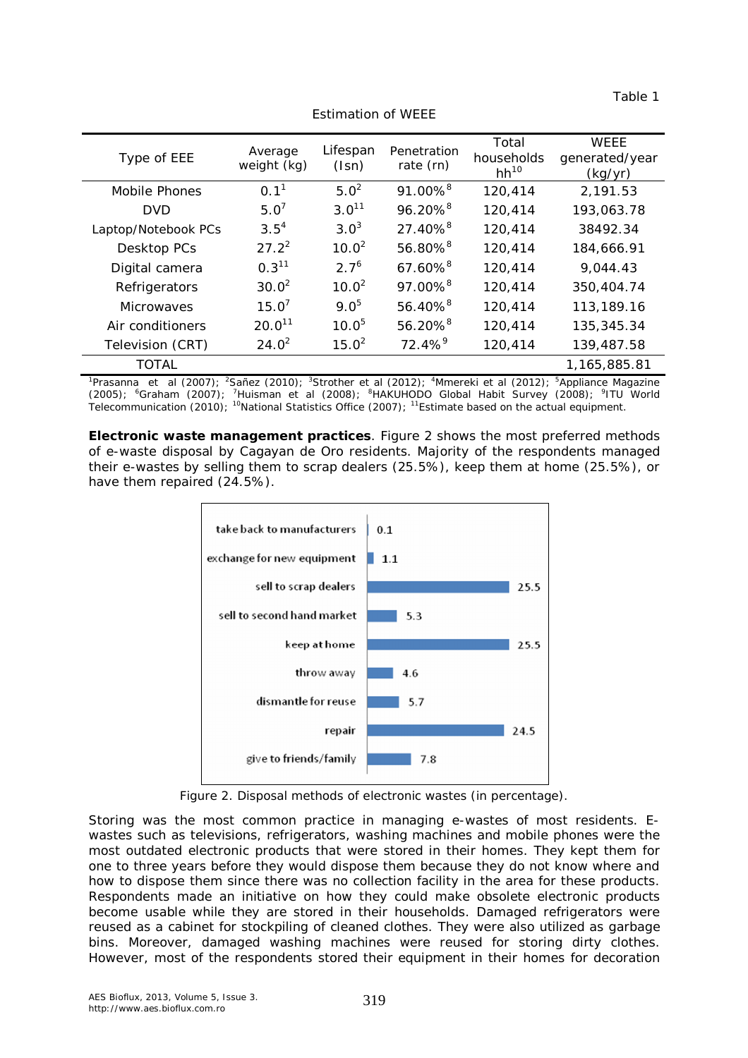| able |  |
|------|--|
|      |  |

| Type of EEE         | Average<br>weight (kg) | Lifespan<br>(Isn) | Penetration<br>rate (rn) | Total<br>households<br>$hh^{10}$ | <b>WEEE</b><br>generated/year<br>(kg/yr) |
|---------------------|------------------------|-------------------|--------------------------|----------------------------------|------------------------------------------|
| Mobile Phones       | 0.1 <sup>1</sup>       | $5.0^2$           | 91.00% <sup>8</sup>      | 120,414                          | 2,191.53                                 |
| DVD                 | $5.0^7$                | $3.0^{11}$        | $96.20\%$ <sup>8</sup>   | 120,414                          | 193,063.78                               |
| Laptop/Notebook PCs | $3.5^{4}$              | $3.0^3$           | $27.40\%$ <sup>8</sup>   | 120,414                          | 38492.34                                 |
| Desktop PCs         | $27.2^2$               | $10.0^2$          | 56.80% <sup>8</sup>      | 120,414                          | 184,666.91                               |
| Digital camera      | 0.3 <sup>11</sup>      | $2.7^{6}$         | $67.60\%$ <sup>8</sup>   | 120,414                          | 9,044.43                                 |
| Refrigerators       | $30.0^2$               | $10.0^2$          | 97.00% <sup>8</sup>      | 120,414                          | 350,404.74                               |
| Microwaves          | 15.0'                  | $9.0^{5}$         | $56.40\%$ <sup>8</sup>   | 120,414                          | 113,189.16                               |
| Air conditioners    | $20.0^{11}$            | $10.0^{5}$        | 56.20% <sup>8</sup>      | 120,414                          | 135,345.34                               |
| Television (CRT)    | $24.0^2$               | $15.0^2$          | $72.4\%$ <sup>9</sup>    | 120,414                          | 139,487.58                               |
| <b>TOTAL</b>        |                        |                   |                          |                                  | 1,165,885.81                             |

Estimation of WEEE

<sup>1</sup>Prasanna et al (2007); <sup>2</sup>Sañez (2010); <sup>3</sup>Strother et al (2012); <sup>4</sup>Mmereki et al (2012); <sup>5</sup>Appliance Magazine (2005); <sup>6</sup>Graham (2007); <sup>7</sup>Huisman et al (2008); <sup>8</sup>HAKUHODO Global Habit Survey (2008); <sup>9</sup>ITU World Telecommunication (2010); <sup>10</sup>National Statistics Office (2007); <sup>11</sup>Estimate based on the actual equipment.

*Electronic waste management practices.* Figure 2 shows the most preferred methods of e-waste disposal by Cagayan de Oro residents. Majority of the respondents managed their e-wastes by selling them to scrap dealers (25.5%), keep them at home (25.5%), or have them repaired (24.5%).



Figure 2. Disposal methods of electronic wastes (in percentage).

Storing was the most common practice in managing e-wastes of most residents. Ewastes such as televisions, refrigerators, washing machines and mobile phones were the most outdated electronic products that were stored in their homes. They kept them for one to three years before they would dispose them because they do not know where and how to dispose them since there was no collection facility in the area for these products. Respondents made an initiative on how they could make obsolete electronic products become usable while they are stored in their households. Damaged refrigerators were reused as a cabinet for stockpiling of cleaned clothes. They were also utilized as garbage bins. Moreover, damaged washing machines were reused for storing dirty clothes. However, most of the respondents stored their equipment in their homes for decoration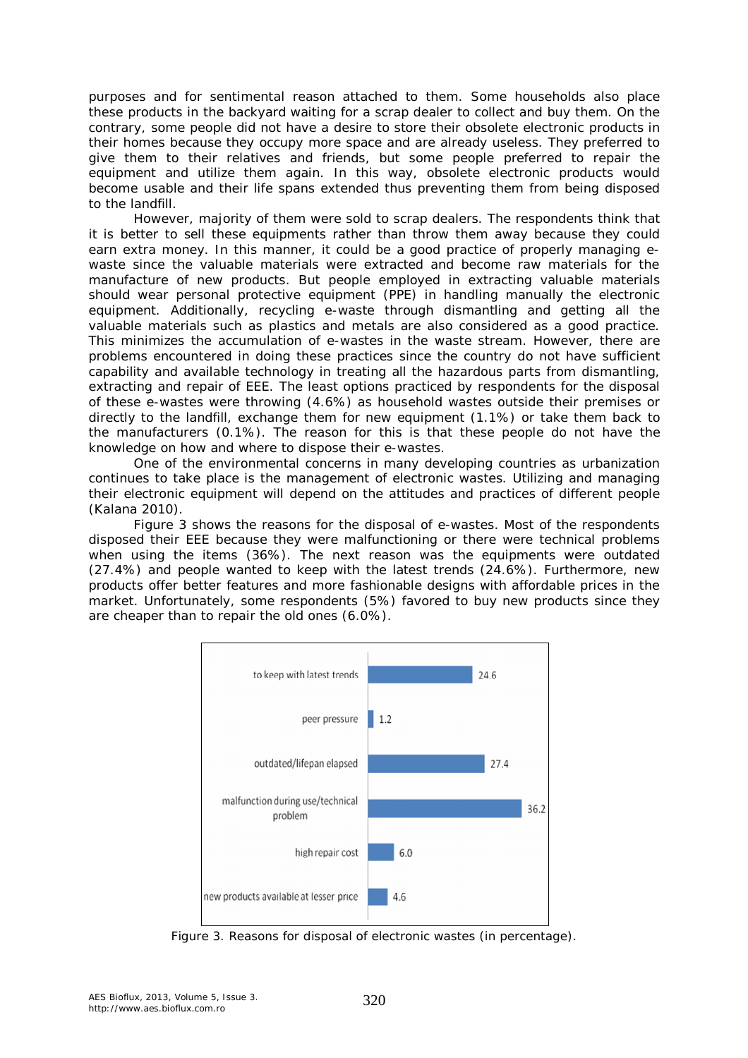purposes and for sentimental reason attached to them. Some households also place these products in the backyard waiting for a scrap dealer to collect and buy them. On the contrary, some people did not have a desire to store their obsolete electronic products in their homes because they occupy more space and are already useless. They preferred to give them to their relatives and friends, but some people preferred to repair the equipment and utilize them again. In this way, obsolete electronic products would become usable and their life spans extended thus preventing them from being disposed to the landfill.

However, majority of them were sold to scrap dealers. The respondents think that it is better to sell these equipments rather than throw them away because they could earn extra money. In this manner, it could be a good practice of properly managing ewaste since the valuable materials were extracted and become raw materials for the manufacture of new products. But people employed in extracting valuable materials should wear personal protective equipment (PPE) in handling manually the electronic equipment. Additionally, recycling e-waste through dismantling and getting all the valuable materials such as plastics and metals are also considered as a good practice. This minimizes the accumulation of e-wastes in the waste stream. However, there are problems encountered in doing these practices since the country do not have sufficient capability and available technology in treating all the hazardous parts from dismantling, extracting and repair of EEE. The least options practiced by respondents for the disposal of these e-wastes were throwing (4.6%) as household wastes outside their premises or directly to the landfill, exchange them for new equipment (1.1%) or take them back to the manufacturers (0.1%). The reason for this is that these people do not have the knowledge on how and where to dispose their e-wastes.

One of the environmental concerns in many developing countries as urbanization continues to take place is the management of electronic wastes. Utilizing and managing their electronic equipment will depend on the attitudes and practices of different people (Kalana 2010).

Figure 3 shows the reasons for the disposal of e-wastes. Most of the respondents disposed their EEE because they were malfunctioning or there were technical problems when using the items (36%). The next reason was the equipments were outdated (27.4%) and people wanted to keep with the latest trends (24.6%). Furthermore, new products offer better features and more fashionable designs with affordable prices in the market. Unfortunately, some respondents (5%) favored to buy new products since they are cheaper than to repair the old ones (6.0%).



Figure 3. Reasons for disposal of electronic wastes (in percentage).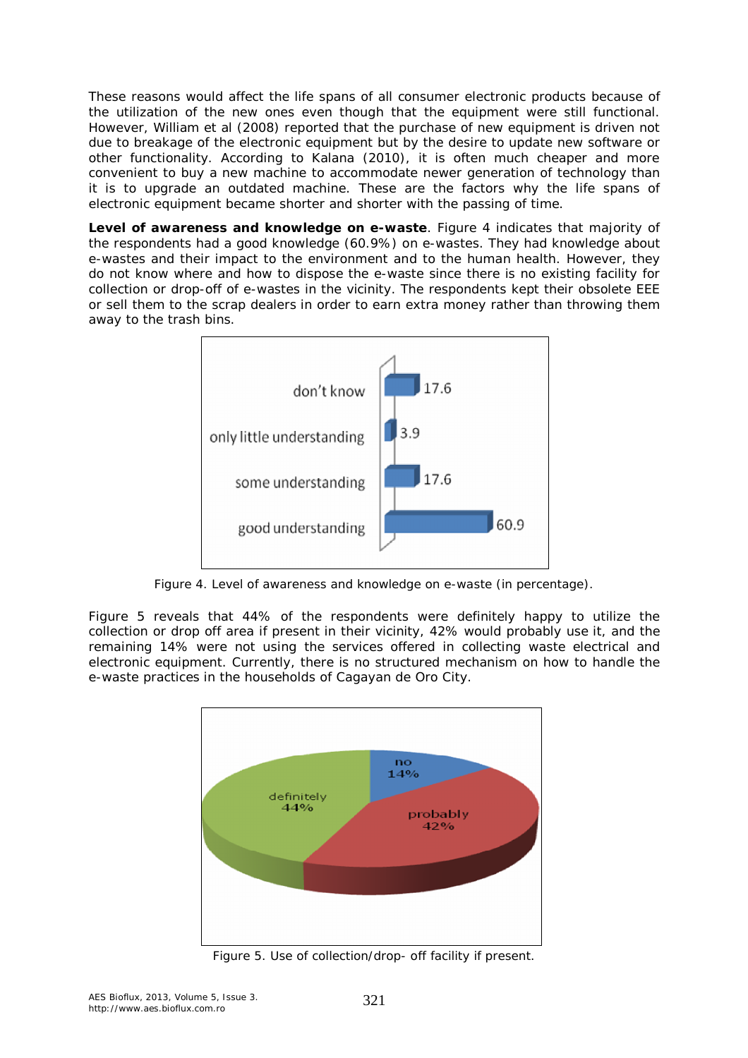These reasons would affect the life spans of all consumer electronic products because of the utilization of the new ones even though that the equipment were still functional. However, William et al (2008) reported that the purchase of new equipment is driven not due to breakage of the electronic equipment but by the desire to update new software or other functionality. According to Kalana (2010), it is often much cheaper and more convenient to buy a new machine to accommodate newer generation of technology than it is to upgrade an outdated machine. These are the factors why the life spans of electronic equipment became shorter and shorter with the passing of time.

*Level of awareness and knowledge on e-waste.* Figure 4 indicates that majority of the respondents had a good knowledge (60.9%) on e-wastes. They had knowledge about e-wastes and their impact to the environment and to the human health. However, they do not know where and how to dispose the e-waste since there is no existing facility for collection or drop-off of e-wastes in the vicinity. The respondents kept their obsolete EEE or sell them to the scrap dealers in order to earn extra money rather than throwing them away to the trash bins.



Figure 4. Level of awareness and knowledge on e-waste (in percentage).

Figure 5 reveals that 44% of the respondents were definitely happy to utilize the collection or drop off area if present in their vicinity, 42% would probably use it, and the remaining 14% were not using the services offered in collecting waste electrical and electronic equipment. Currently, there is no structured mechanism on how to handle the e-waste practices in the households of Cagayan de Oro City.



Figure 5. Use of collection/drop- off facility if present.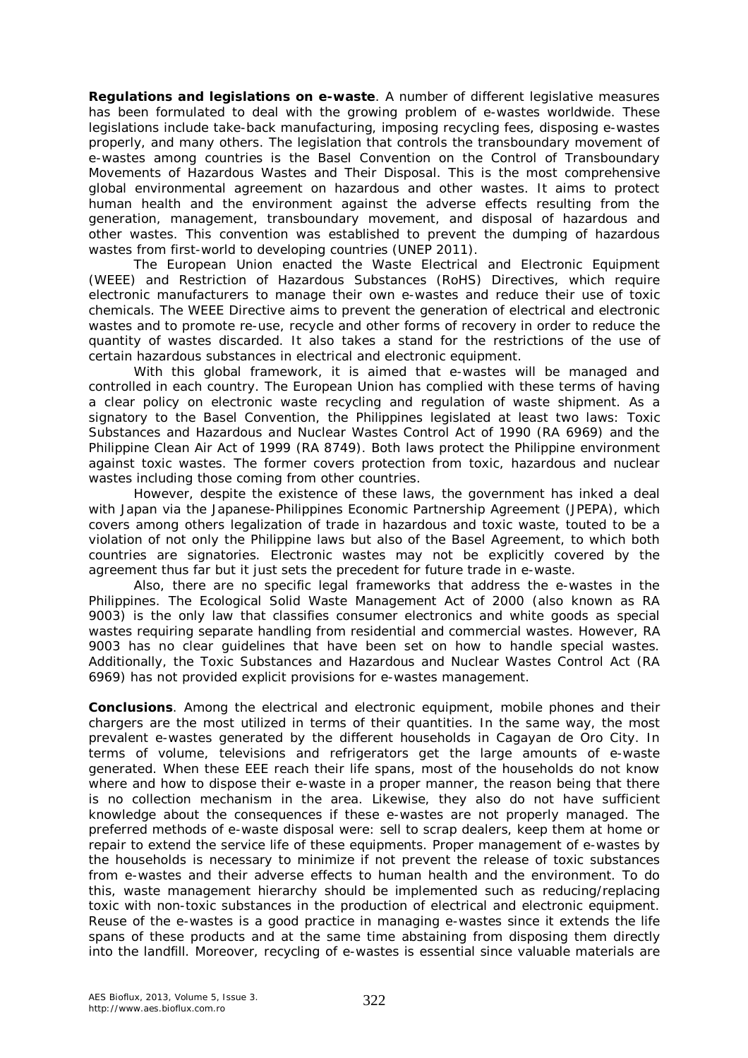*Regulations and legislations on e-waste.* A number of different legislative measures has been formulated to deal with the growing problem of e-wastes worldwide. These legislations include take-back manufacturing, imposing recycling fees, disposing e-wastes properly, and many others. The legislation that controls the transboundary movement of e-wastes among countries is the Basel Convention on the Control of Transboundary Movements of Hazardous Wastes and Their Disposal. This is the most comprehensive global environmental agreement on hazardous and other wastes. It aims to protect human health and the environment against the adverse effects resulting from the generation, management, transboundary movement, and disposal of hazardous and other wastes. This convention was established to prevent the dumping of hazardous wastes from first-world to developing countries (UNEP 2011).

The European Union enacted the Waste Electrical and Electronic Equipment (WEEE) and Restriction of Hazardous Substances (RoHS) Directives, which require electronic manufacturers to manage their own e-wastes and reduce their use of toxic chemicals. The WEEE Directive aims to prevent the generation of electrical and electronic wastes and to promote re-use, recycle and other forms of recovery in order to reduce the quantity of wastes discarded. It also takes a stand for the restrictions of the use of certain hazardous substances in electrical and electronic equipment.

With this global framework, it is aimed that e-wastes will be managed and controlled in each country. The European Union has complied with these terms of having a clear policy on electronic waste recycling and regulation of waste shipment. As a signatory to the Basel Convention, the Philippines legislated at least two laws: Toxic Substances and Hazardous and Nuclear Wastes Control Act of 1990 (RA 6969) and the Philippine Clean Air Act of 1999 (RA 8749). Both laws protect the Philippine environment against toxic wastes. The former covers protection from toxic, hazardous and nuclear wastes including those coming from other countries.

However, despite the existence of these laws, the government has inked a deal with Japan via the Japanese-Philippines Economic Partnership Agreement (JPEPA), which covers among others legalization of trade in hazardous and toxic waste, touted to be a violation of not only the Philippine laws but also of the Basel Agreement, to which both countries are signatories. Electronic wastes may not be explicitly covered by the agreement thus far but it just sets the precedent for future trade in e-waste.

Also, there are no specific legal frameworks that address the e-wastes in the Philippines. The Ecological Solid Waste Management Act of 2000 (also known as RA 9003) is the only law that classifies consumer electronics and white goods as special wastes requiring separate handling from residential and commercial wastes. However, RA 9003 has no clear guidelines that have been set on how to handle special wastes. Additionally, the Toxic Substances and Hazardous and Nuclear Wastes Control Act (RA 6969) has not provided explicit provisions for e-wastes management.

**Conclusions**. Among the electrical and electronic equipment, mobile phones and their chargers are the most utilized in terms of their quantities. In the same way, the most prevalent e-wastes generated by the different households in Cagayan de Oro City. In terms of volume, televisions and refrigerators get the large amounts of e-waste generated. When these EEE reach their life spans, most of the households do not know where and how to dispose their e-waste in a proper manner, the reason being that there is no collection mechanism in the area. Likewise, they also do not have sufficient knowledge about the consequences if these e-wastes are not properly managed. The preferred methods of e-waste disposal were: sell to scrap dealers, keep them at home or repair to extend the service life of these equipments. Proper management of e-wastes by the households is necessary to minimize if not prevent the release of toxic substances from e-wastes and their adverse effects to human health and the environment. To do this, waste management hierarchy should be implemented such as reducing/replacing toxic with non-toxic substances in the production of electrical and electronic equipment. Reuse of the e-wastes is a good practice in managing e-wastes since it extends the life spans of these products and at the same time abstaining from disposing them directly into the landfill. Moreover, recycling of e-wastes is essential since valuable materials are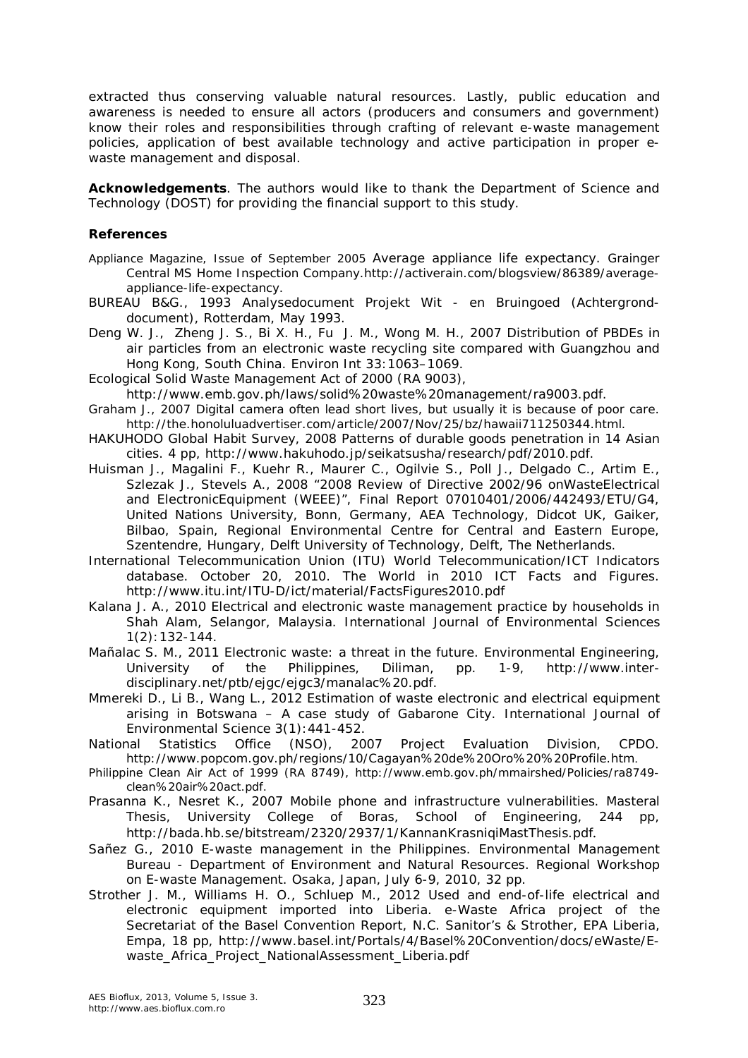extracted thus conserving valuable natural resources. Lastly, public education and awareness is needed to ensure all actors (producers and consumers and government) know their roles and responsibilities through crafting of relevant e-waste management policies, application of best available technology and active participation in proper ewaste management and disposal.

**Acknowledgements**. The authors would like to thank the Department of Science and Technology (DOST) for providing the financial support to this study.

#### **References**

- Appliance Magazine, Issue of September 2005 Average appliance life expectancy. Grainger Central MS Home Inspection Company.http://activerain.com/blogsview/86389/averageappliance-life-expectancy.
- BUREAU B&G., 1993 Analysedocument Projekt Wit en Bruingoed (Achtergronddocument), Rotterdam, May 1993.
- Deng W. J., Zheng J. S., Bi X. H., Fu J. M., Wong M. H., 2007 Distribution of PBDEs in air particles from an electronic waste recycling site compared with Guangzhou and Hong Kong, South China. Environ Int 33:1063–1069.
- Ecological Solid Waste Management Act of 2000 (RA 9003),
- http://www.emb.gov.ph/laws/solid%20waste%20management/ra9003.pdf.
- Graham J., 2007 Digital camera often lead short lives, but usually it is because of poor care. http://the.honoluluadvertiser.com/article/2007/Nov/25/bz/hawaii711250344.html.
- HAKUHODO Global Habit Survey, 2008 Patterns of durable goods penetration in 14 Asian cities. 4 pp, http://www.hakuhodo.jp/seikatsusha/research/pdf/2010.pdf.
- Huisman J., Magalini F., Kuehr R., Maurer C., Ogilvie S., Poll J., Delgado C., Artim E., Szlezak J., Stevels A., 2008 "2008 Review of Directive 2002/96 onWasteElectrical and ElectronicEquipment (WEEE)", Final Report 07010401/2006/442493/ETU/G4, United Nations University, Bonn, Germany, AEA Technology, Didcot UK, Gaiker, Bilbao, Spain, Regional Environmental Centre for Central and Eastern Europe, Szentendre, Hungary, Delft University of Technology, Delft, The Netherlands.
- International Telecommunication Union (ITU) World Telecommunication/ICT Indicators database. October 20, 2010. The World in 2010 ICT Facts and Figures. http://www.itu.int/ITU-D/ict/material/FactsFigures2010.pdf
- Kalana J. A., 2010 Electrical and electronic waste management practice by households in Shah Alam, Selangor, Malaysia. International Journal of Environmental Sciences 1(2):132-144.
- Mañalac S. M., 2011 Electronic waste: a threat in the future. Environmental Engineering, University of the Philippines, Diliman, pp. 1-9, http://www.interdisciplinary.net/ptb/ejgc/ejgc3/manalac%20.pdf.
- Mmereki D., Li B., Wang L., 2012 Estimation of waste electronic and electrical equipment arising in Botswana – A case study of Gabarone City. International Journal of Environmental Science 3(1):441-452.
- National Statistics Office (NSO), 2007 Project Evaluation Division*,* CPDO. http://www.popcom.gov.ph/regions/10/Cagayan%20de%20Oro%20%20Profile.htm.
- Philippine Clean Air Act of 1999 (RA 8749), http://www.emb.gov.ph/mmairshed/Policies/ra8749 clean%20air%20act.pdf.
- Prasanna K., Nesret K., 2007 Mobile phone and infrastructure vulnerabilities. Masteral Thesis, University College of Boras, School of Engineering, 244 pp, http://bada.hb.se/bitstream/2320/2937/1/KannanKrasniqiMastThesis.pdf.
- Sañez G., 2010 E-waste management in the Philippines. Environmental Management Bureau - Department of Environment and Natural Resources. Regional Workshop on E-waste Management. Osaka, Japan, July 6-9, 2010, 32 pp.
- Strother J. M., Williams H. O., Schluep M., 2012 Used and end-of-life electrical and electronic equipment imported into Liberia. e-Waste Africa project of the Secretariat of the Basel Convention Report, N.C. Sanitor's & Strother, EPA Liberia, Empa, 18 pp, http://www.basel.int/Portals/4/Basel%20Convention/docs/eWaste/Ewaste\_Africa\_Project\_NationalAssessment\_Liberia.pdf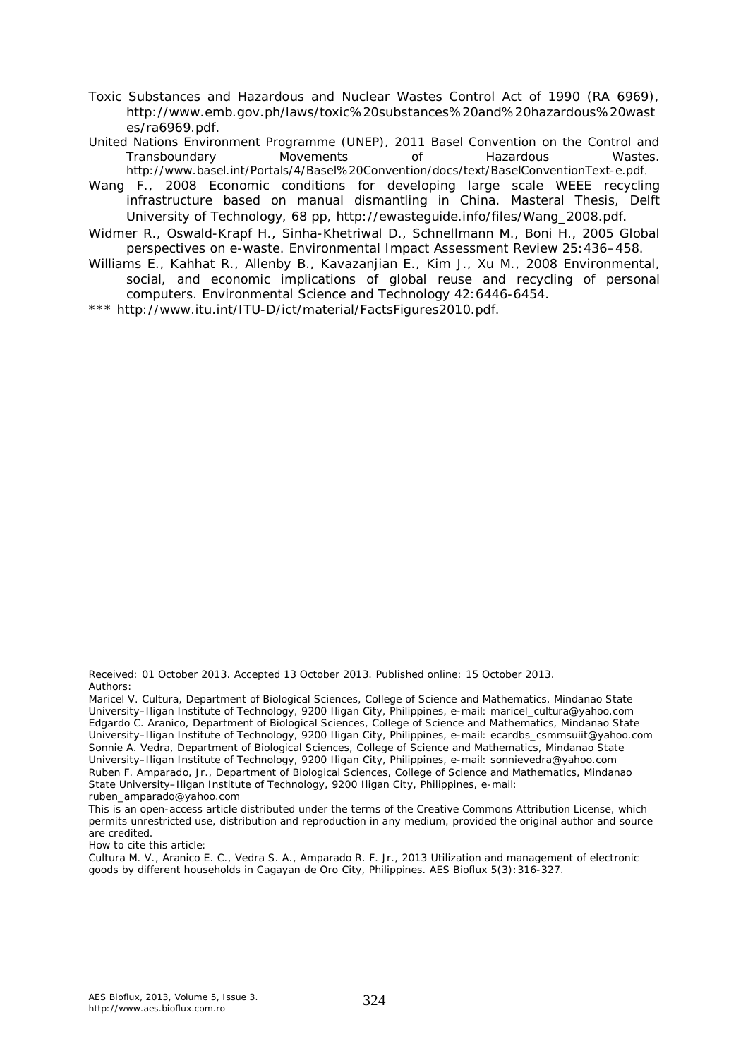- Toxic Substances and Hazardous and Nuclear Wastes Control Act of 1990 (RA 6969), http://www.emb.gov.ph/laws/toxic%20substances%20and%20hazardous%20wast es/ra6969.pdf.
- United Nations Environment Programme (UNEP), 2011 Basel Convention on the Control and<br>Transboundary Movements of Hazardous Wastes. Transboundary Movements of Hazardous Wastes. http://www.basel.int/Portals/4/Basel%20Convention/docs/text/BaselConventionText-e.pdf.
- Wang F., 2008 Economic conditions for developing large scale WEEE recycling infrastructure based on manual dismantling in China. Masteral Thesis, Delft University of Technology, 68 pp, http://ewasteguide.info/files/Wang\_2008.pdf.
- Widmer R., Oswald-Krapf H., Sinha-Khetriwal D., Schnellmann M., Boni H., 2005 Global perspectives on e-waste. Environmental Impact Assessment Review 25:436–458.
- Williams E., Kahhat R., Allenby B., Kavazanjian E., Kim J., Xu M., 2008 Environmental, social, and economic implications of global reuse and recycling of personal computers. Environmental Science and Technology 42:6446-6454.

\*\*\* http://www.itu.int/ITU-D/ict/material/FactsFigures2010.pdf.

Received: 01 October 2013. Accepted 13 October 2013. Published online: 15 October 2013. Authors:

How to cite this article:

Cultura M. V., Aranico E. C., Vedra S. A., Amparado R. F. Jr., 2013 Utilization and management of electronic goods by different households in Cagayan de Oro City, Philippines. AES Bioflux 5(3):316-327.

Maricel V. Cultura, Department of Biological Sciences, College of Science and Mathematics, Mindanao State University–Iligan Institute of Technology, 9200 Iligan City, Philippines, e-mail: maricel\_cultura@yahoo.com Edgardo C. Aranico, Department of Biological Sciences, College of Science and Mathematics, Mindanao State University–Iligan Institute of Technology, 9200 Iligan City, Philippines, e-mail: ecardbs\_csmmsuiit@yahoo.com Sonnie A. Vedra, Department of Biological Sciences, College of Science and Mathematics, Mindanao State University–Iligan Institute of Technology, 9200 Iligan City, Philippines, e-mail: sonnievedra@yahoo.com Ruben F. Amparado, Jr., Department of Biological Sciences, College of Science and Mathematics, Mindanao State University–Iligan Institute of Technology, 9200 Iligan City, Philippines, e-mail: ruben\_amparado@yahoo.com

This is an open-access article distributed under the terms of the Creative Commons Attribution License, which permits unrestricted use, distribution and reproduction in any medium, provided the original author and source are credited.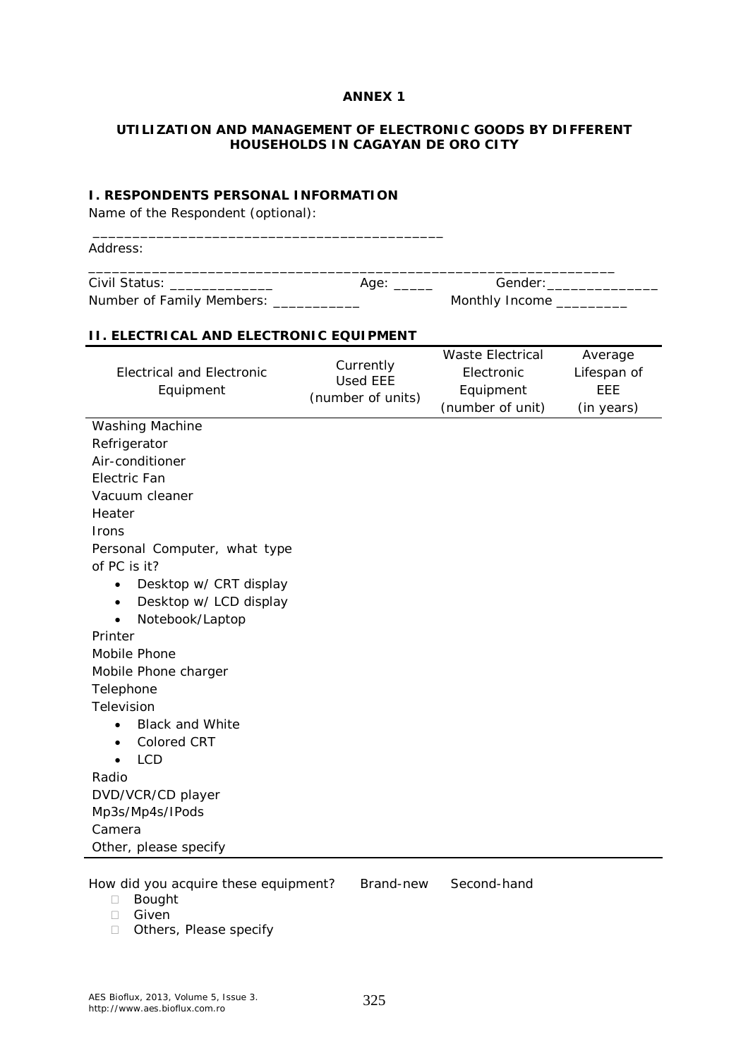#### **ANNEX 1**

#### **UTILIZATION AND MANAGEMENT OF ELECTRONIC GOODS BY DIFFERENT HOUSEHOLDS IN CAGAYAN DE ORO CITY**

#### **I. RESPONDENTS PERSONAL INFORMATION**

Name of the Respondent (optional):

| Civil Status: _______________                  | Age: $\_\_\_\_\_\_\_\$                            | Gender: ___________                                                    |                                             |  |  |  |  |  |
|------------------------------------------------|---------------------------------------------------|------------------------------------------------------------------------|---------------------------------------------|--|--|--|--|--|
| Number of Family Members: ___________          |                                                   | Monthly Income ________                                                |                                             |  |  |  |  |  |
| <b>II. ELECTRICAL AND ELECTRONIC EQUIPMENT</b> |                                                   |                                                                        |                                             |  |  |  |  |  |
| <b>Electrical and Electronic</b><br>Equipment  | Currently<br><b>Used EEE</b><br>(number of units) | <b>Waste Electrical</b><br>Electronic<br>Equipment<br>(number of unit) | Average<br>Lifespan of<br>EEE<br>(in years) |  |  |  |  |  |
| Washing Machine                                |                                                   |                                                                        |                                             |  |  |  |  |  |
| Refrigerator                                   |                                                   |                                                                        |                                             |  |  |  |  |  |
| Air-conditioner                                |                                                   |                                                                        |                                             |  |  |  |  |  |
| Electric Fan                                   |                                                   |                                                                        |                                             |  |  |  |  |  |
| Vacuum cleaner                                 |                                                   |                                                                        |                                             |  |  |  |  |  |
| Heater                                         |                                                   |                                                                        |                                             |  |  |  |  |  |
| <b>Irons</b>                                   |                                                   |                                                                        |                                             |  |  |  |  |  |
| Personal Computer, what type<br>of PC is it?   |                                                   |                                                                        |                                             |  |  |  |  |  |
| Desktop w/ CRT display<br>$\bullet$            |                                                   |                                                                        |                                             |  |  |  |  |  |
| Desktop w/ LCD display<br>$\bullet$            |                                                   |                                                                        |                                             |  |  |  |  |  |
| Notebook/Laptop                                |                                                   |                                                                        |                                             |  |  |  |  |  |
| Printer                                        |                                                   |                                                                        |                                             |  |  |  |  |  |
| Mobile Phone                                   |                                                   |                                                                        |                                             |  |  |  |  |  |
| Mobile Phone charger                           |                                                   |                                                                        |                                             |  |  |  |  |  |
| Telephone                                      |                                                   |                                                                        |                                             |  |  |  |  |  |
| Television                                     |                                                   |                                                                        |                                             |  |  |  |  |  |
| <b>Black and White</b><br>$\bullet$            |                                                   |                                                                        |                                             |  |  |  |  |  |
| <b>Colored CRT</b><br>$\bullet$                |                                                   |                                                                        |                                             |  |  |  |  |  |
| <b>LCD</b>                                     |                                                   |                                                                        |                                             |  |  |  |  |  |
| Radio                                          |                                                   |                                                                        |                                             |  |  |  |  |  |
| DVD/VCR/CD player                              |                                                   |                                                                        |                                             |  |  |  |  |  |
| Mp3s/Mp4s/IPods                                |                                                   |                                                                        |                                             |  |  |  |  |  |
| Camera                                         |                                                   |                                                                        |                                             |  |  |  |  |  |
| Other, please specify                          |                                                   |                                                                        |                                             |  |  |  |  |  |

- Given
- Others, Please specify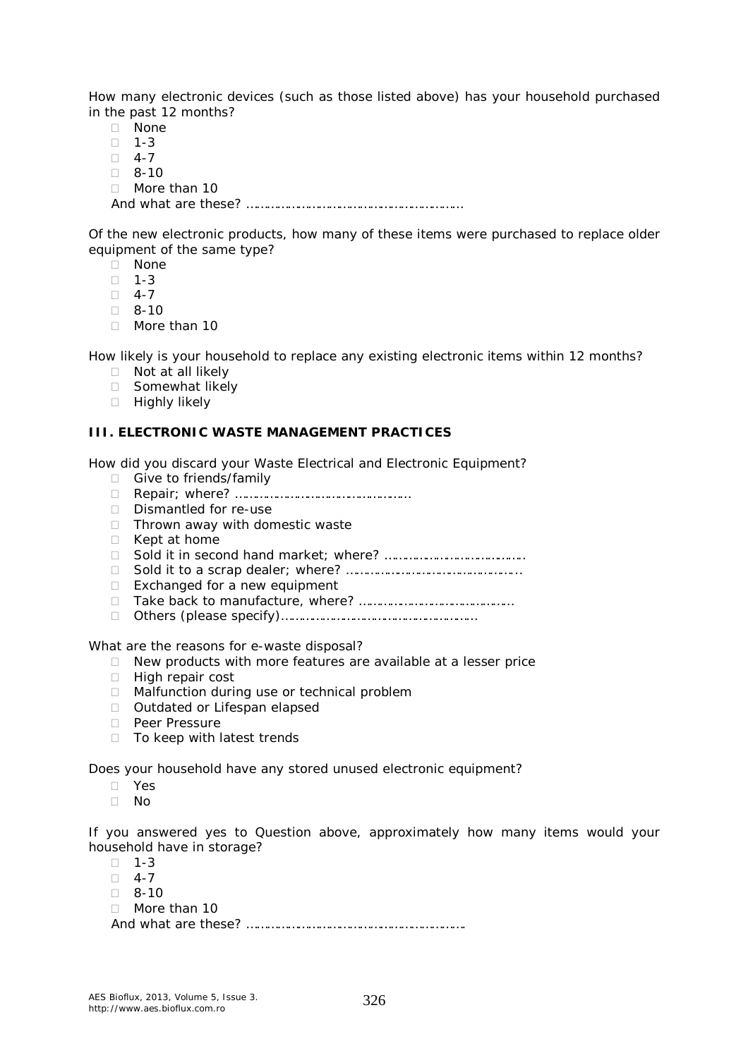How many electronic devices (such as those listed above) has your household purchased in the past 12 months?

- None
- $\Box$  1-3
- $\Box$  4-7
- $\Box$  8-10
- □ More than 10
- And what are these? ………………………………………………………

Of the new electronic products, how many of these items were purchased to replace older equipment of the same type?

- None
- $\Box$  1-3
- $\Box$  4-7
- $18 10$
- More than 10

How likely is your household to replace any existing electronic items within 12 months?

- □ Not at all likely
- □ Somewhat likely
- □ Highly likely

#### **III. ELECTRONIC WASTE MANAGEMENT PRACTICES**

How did you discard your Waste Electrical and Electronic Equipment?

- □ Give to friends/family
- Repair; where? ……………………………………………
- Dismantled for re-use
- $\Box$  Thrown away with domestic waste
- $\Box$  Kept at home
- Sold it in second hand market; where? …………………………………..
- Sold it to a scrap dealer; where? …………………………………………...
- $\Box$  Exchanged for a new equipment
- Take back to manufacture, where? ………………………………………
- Others (please specify)…………………………………………………

What are the reasons for e-waste disposal?

- $\Box$  New products with more features are available at a lesser price
- □ High repair cost
- □ Malfunction during use or technical problem
- □ Outdated or Lifespan elapsed
- **Peer Pressure**
- $\Box$  To keep with latest trends

Does your household have any stored unused electronic equipment?

- Yes
- $\Box$  No

If you answered *yes* to Question above, approximately how many items would your household have in storage?

- $\Box$  1-3
- $\Box$  4-7
- $\Box$  8-10
- □ More than 10

And what are these? ……………………………………………………….